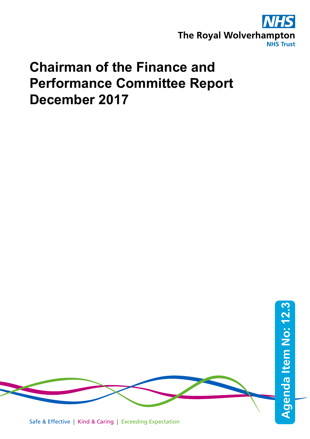

# **Chairman of the Finance and Performance Committee Report December 2017**

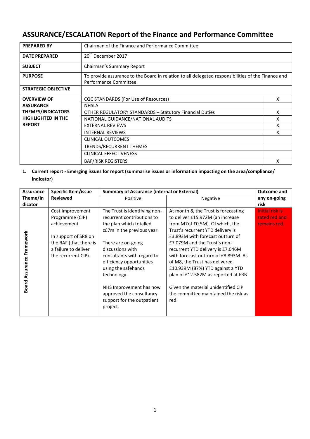# **ASSURANCE/ESCALATION Report of the Finance and Performance Committee**

| <b>PREPARED BY</b>         | Chairman of the Finance and Performance Committee                                                                           |   |  |
|----------------------------|-----------------------------------------------------------------------------------------------------------------------------|---|--|
| <b>DATE PREPARED</b>       | 20 <sup>th</sup> December 2017                                                                                              |   |  |
| <b>SUBJECT</b>             | Chairman's Summary Report                                                                                                   |   |  |
| <b>PURPOSE</b>             | To provide assurance to the Board in relation to all delegated responsibilities of the Finance and<br>Performance Committee |   |  |
| <b>STRATEGIC OBJECTIVE</b> |                                                                                                                             |   |  |
| <b>OVERVIEW OF</b>         | CQC STANDARDS (For Use of Resources)                                                                                        | X |  |
| <b>ASSURANCE</b>           | <b>NHSLA</b>                                                                                                                |   |  |
| <b>THEMES/INDICATORS</b>   | <b>OTHER REGULATORY STANDARDS - Statutory Financial Duties</b>                                                              | X |  |
| <b>HIGHLIGHTED IN THE</b>  | NATIONAL GUIDANCE/NATIONAL AUDITS                                                                                           | x |  |
| <b>REPORT</b>              | <b>EXTERNAL REVIEWS</b>                                                                                                     | x |  |
|                            | <b>INTERNAL REVIEWS</b>                                                                                                     | x |  |
|                            | CLINICAL OUTCOMES                                                                                                           |   |  |
|                            | <b>TRENDS/RECURRENT THEMES</b>                                                                                              |   |  |
|                            | <b>CLINICAL EFFECTIVENESS</b>                                                                                               |   |  |
|                            | <b>BAF/RISK REGISTERS</b>                                                                                                   | x |  |

**1. Current report - Emerging issues for report (summarise issues or information impacting on the area/compliance/ indicator)**

| <b>Reviewed</b><br>Theme/In<br>Negative<br>Positive<br>dicator<br>risk<br>The Trust is identifying non-<br>At month 8, the Trust is forecasting<br>Cost Improvement<br>recurrent contributions to<br>to deliver £15.972M (an increase<br>Programme (CIP)<br>from M7 of £0.5M). Of which, the<br>achievement.<br>the plan which totalled<br>c£7m in the previous year.<br>Trust's recurrent YTD delivery is<br>Framework<br>£3.893M with forecast outturn of<br>In support of SR8 on<br>the BAF (that there is<br>There are on-going<br>£7.079M and the Trust's non-<br>a failure to deliver<br>discussions with<br>recurrent YTD delivery is £7.046M<br>with forecast outturn of £8.893M. As<br>the recurrent CIP).<br>consultants with regard to<br>efficiency opportunities<br>of M8, the Trust has delivered | <b>Assurance</b>       | Specific Item/issue | <b>Summary of Assurance (internal or External)</b> |                                  | <b>Outcome and</b>                               |
|-----------------------------------------------------------------------------------------------------------------------------------------------------------------------------------------------------------------------------------------------------------------------------------------------------------------------------------------------------------------------------------------------------------------------------------------------------------------------------------------------------------------------------------------------------------------------------------------------------------------------------------------------------------------------------------------------------------------------------------------------------------------------------------------------------------------|------------------------|---------------------|----------------------------------------------------|----------------------------------|--------------------------------------------------|
|                                                                                                                                                                                                                                                                                                                                                                                                                                                                                                                                                                                                                                                                                                                                                                                                                 |                        |                     |                                                    |                                  | any on-going                                     |
|                                                                                                                                                                                                                                                                                                                                                                                                                                                                                                                                                                                                                                                                                                                                                                                                                 |                        |                     |                                                    |                                  |                                                  |
| technology.<br>plan of £12.582M as reported at FRB.<br>Given the material unidentified CIP<br>NHS Improvement has now<br>approved the consultancy<br>the committee maintained the risk as<br>support for the outpatient<br>red.<br>project.                                                                                                                                                                                                                                                                                                                                                                                                                                                                                                                                                                     | <b>Board Assurance</b> |                     | using the safehands                                | £10.939M (87%) YTD against a YTD | Initial risk is<br>rated red and<br>remains red. |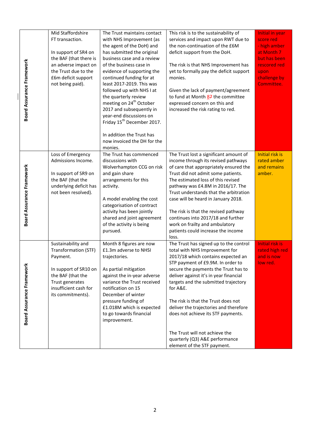| Board Assurance Framework        | Mid Staffordshire<br>FT transaction.<br>In support of SR4 on<br>the BAF (that there is<br>an adverse impact on<br>the Trust due to the<br>£6m deficit support<br>not being paid). | The Trust maintains contact<br>with NHS Improvement (as<br>the agent of the DoH) and<br>has submitted the original<br>business case and a review<br>of the business case in<br>evidence of supporting the<br>continued funding for at<br>least 2017-2019. This was<br>followed up with NHS I at<br>the quarterly review<br>meeting on 24 <sup>th</sup> October<br>2017 and subsequently in | This risk is to the sustainability of<br>services and impact upon RWT due to<br>the non-continuation of the £6M<br>deficit support from the DoH.<br>The risk is that NHS Improvement has<br>yet to formally pay the deficit support<br>monies.<br>Given the lack of payment/agreement<br>to fund at Month 87 the committee<br>expressed concern on this and<br>increased the risk rating to red.                                                                                                                    | Initial in year<br>score red<br>- high amber<br>at Month 7<br>but has been<br>rescored red<br>upon<br>challenge by<br>Committee. |
|----------------------------------|-----------------------------------------------------------------------------------------------------------------------------------------------------------------------------------|--------------------------------------------------------------------------------------------------------------------------------------------------------------------------------------------------------------------------------------------------------------------------------------------------------------------------------------------------------------------------------------------|---------------------------------------------------------------------------------------------------------------------------------------------------------------------------------------------------------------------------------------------------------------------------------------------------------------------------------------------------------------------------------------------------------------------------------------------------------------------------------------------------------------------|----------------------------------------------------------------------------------------------------------------------------------|
|                                  |                                                                                                                                                                                   | year-end discussions on<br>Friday 15 <sup>th</sup> December 2017.<br>In addition the Trust has<br>now invoiced the DH for the<br>monies.                                                                                                                                                                                                                                                   |                                                                                                                                                                                                                                                                                                                                                                                                                                                                                                                     |                                                                                                                                  |
| <b>Board Assurance Framework</b> | Loss of Emergency<br>Admissions Income.<br>In support of SR9 on<br>the BAF (that the<br>underlying deficit has<br>not been resolved).                                             | The Trust has commenced<br>discussions with<br>Wolverhampton CCG on risk<br>and gain share<br>arrangements for this<br>activity.<br>A model enabling the cost<br>categorisation of contract<br>activity has been jointly<br>shared and joint agreement<br>of the activity is being<br>pursued.                                                                                             | The Trust lost a significant amount of<br>income through its revised pathways<br>of care that appropriately ensured the<br>Trust did not admit some patients.<br>The estimated loss of this revised<br>pathway was £4.8M in 2016/17. The<br>Trust understands that the arbitration<br>case will be heard in January 2018.<br>The risk is that the revised pathway<br>continues into 2017/18 and further<br>work on frailty and ambulatory<br>patients could increase the income<br>loss.                            | Initial risk is<br>rated amber<br>and remains<br>amber.                                                                          |
| Board Assurance Framework        | Sustainability and<br>Transformation (STF)<br>Payment.<br>In support of SR10 on<br>the BAF (that the<br>Trust generates<br>insufficient cash for<br>its commitments).             | Month 8 figures are now<br>£1.3m adverse to NHSI<br>trajectories.<br>As partial mitigation<br>against the in-year adverse<br>variance the Trust received<br>notification on 15<br>December of winter<br>pressure funding of<br>£1.018M which is expected<br>to go towards financial<br>improvement.                                                                                        | The Trust has signed up to the control<br>total with NHS Improvement for<br>2017/18 which contains expected an<br>STP payment of £9.9M. In order to<br>secure the payments the Trust has to<br>deliver against it's in year financial<br>targets and the submitted trajectory<br>for A&E.<br>The risk is that the Trust does not<br>deliver the trajectories and therefore<br>does not achieve its STF payments.<br>The Trust will not achieve the<br>quarterly (Q3) A&E performance<br>element of the STF payment. | <b>Initial risk is</b><br>rated high red<br>and is now<br>low red.                                                               |

 $\overline{\phantom{a}}$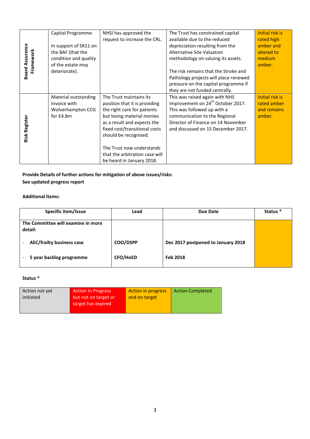|                                     | Capital Programme.    | NHSI has approved the<br>request to increase the CRL. | The Trust has constrained capital<br>available due to the reduced | Initial risk is<br>rated high |
|-------------------------------------|-----------------------|-------------------------------------------------------|-------------------------------------------------------------------|-------------------------------|
|                                     | In support of SR11 on |                                                       | depreciation resulting from the                                   | amber and                     |
| <b>Board Assurance</b><br>Framework | the BAF (that the     |                                                       | <b>Alternative Site Valuation</b>                                 | altered to                    |
|                                     | condition and quality |                                                       | methodology on valuing its assets.                                | medium                        |
|                                     | of the estate may     |                                                       |                                                                   | amber.                        |
|                                     | deteriorate).         |                                                       | The risk remains that the Stroke and                              |                               |
|                                     |                       |                                                       | Pathology projects will place renewed                             |                               |
|                                     |                       |                                                       | pressure on the capital programme if                              |                               |
|                                     |                       |                                                       | they are not funded centrally.                                    |                               |
|                                     | Material outstanding  | The Trust maintains its                               | This was raised again with NHS                                    | Initial risk is               |
|                                     | Invoice with          | position that it is providing                         | Improvement on 24 <sup>th</sup> October 2017.                     | rated amber                   |
|                                     | Wolverhampton CCG     | the right care for patients                           | This was followed up with a                                       | and remains                   |
|                                     | for $£4.8m$           | but losing material monies                            | communication to the Regional                                     | amber.                        |
|                                     |                       | as a result and expects the                           | Director of Finance on 14 November                                |                               |
|                                     |                       | fixed cost/transitional costs                         | and discussed on 15 December 2017.                                |                               |
| <b>Risk Register</b>                |                       | should be recognised.                                 |                                                                   |                               |
|                                     |                       |                                                       |                                                                   |                               |
|                                     |                       | The Trust now understands                             |                                                                   |                               |
|                                     |                       | that the arbitration case will                        |                                                                   |                               |
|                                     |                       | be heard in January 2018.                             |                                                                   |                               |

**Provide Details of further actions for mitigation of above issues/risks: See updated progress report**

# **Additional Items:**

| Specific item/Issue                           | Lead            | Due Date                           | Status <sup>*</sup> |
|-----------------------------------------------|-----------------|------------------------------------|---------------------|
| The Committee will examine in more<br>detail: |                 |                                    |                     |
| <b>AEC/frailty business case</b>              | COO/DSPP        | Dec 2017 postponed to January 2018 |                     |
| 5 year backlog programme                      | <b>CFO/HoED</b> | Feb 2018                           |                     |

# **Status \***

| Action not yet<br>initiated | <b>Action In Progress</b><br>but not on target or<br>target has expired | <b>Action in progress</b><br>and on target | <b>Action Completed</b> |
|-----------------------------|-------------------------------------------------------------------------|--------------------------------------------|-------------------------|
|                             |                                                                         |                                            |                         |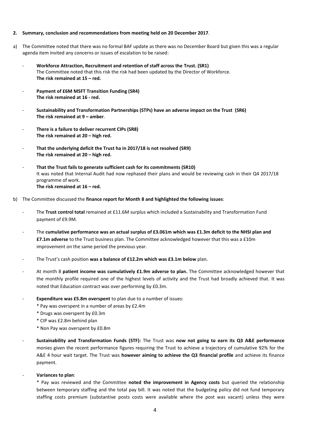#### **2. Summary, conclusion and recommendations from meeting held on 20 December 2017**.

- a) The Committee noted that there was no formal BAF update as there was no December Board but given this was a regular agenda item invited any concerns or issues of escalation to be raised:
	- **Workforce Attraction, Recruitment and retention of staff across the Trust. (SR1)** The Committee noted that this risk the risk had been updated by the Director of Workforce. **The risk remained at 15 – red.**
	- **Payment of £6M MSFT Transition Funding (SR4) The risk remained at 16 - red.**
	- **Sustainability and Transformation Partnerships (STPs) have an adverse impact on the Trust (SR6) The risk remained at 9 – amber**.
	- There is a failure to deliver recurrent CIPs (SR8) **The risk remained at 20 – high red.**
	- **That the underlying deficit the Trust ha in 2017/18 is not resolved (SR9) The risk remained at 20 – high red.**
	- **That the Trust fails to generate sufficient cash for its commitments (SR10)** It was noted that Internal Audit had now rephased their plans and would be reviewing cash in their Q4 2017/18 programme of work. **The risk remained at 16 – red.**
- b) The Committee discussed the **finance report for Month 8 and highlighted the following issues**:
	- The **Trust control total** remained at £11.6M surplus which included a Sustainability and Transformation Fund payment of £9.9M.
	- The **cumulative performance was an actual surplus of £3.061m which was £1.3m deficit to the NHSI plan and £7.1m adverse** to the Trust business plan. The Committee acknowledged however that this was a £10m improvement on the same period the previous year.
	- The Trust's cash position **was a balance of £12.2m which was £3.1m below** plan.
	- At month 8 **patient income was cumulatively £1.9m adverse to plan.** The Committee acknowledged however that the monthly profile required one of the highest levels of activity and the Trust had broadly achieved that. It was noted that Education contract was over performing by £0.3m.
	- **Expenditure was £5.8m overspent** to plan due to a number of issues:
		- \* Pay was overspent in a number of areas by £2.4m
		- \* Drugs was overspent by £0.3m
		- \* CIP was £2.8m behind plan
		- \* Non Pay was overspent by £0.8m
	- **Sustainability and Transformation Funds (STF):** The Trust was **now not going to earn its Q3 A&E performance**  monies given the recent performance figures requiring the Trust to achieve a trajectory of cumulative 92% for the A&E 4 hour wait target. The Trust was **however aiming to achieve the Q3 financial profile** and achieve its finance payment.
	- **Variances to plan**:

\* Pay was reviewed and the Committee **noted the improvement in Agency costs** but queried the relationship between temporary staffing and the total pay bill. It was noted that the budgeting policy did not fund temporary staffing costs premium (substantive posts costs were available where the post was vacant) unless they were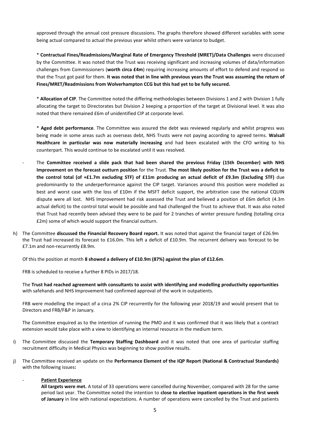approved through the annual cost pressure discussions. The graphs therefore showed different variables with some being actual compared to actual the previous year whilst others were variance to budget.

\* **Contractual Fines/Readmissions/Marginal Rate of Emergency Threshold (MRET)/Data Challenges** were discussed by the Committee. It was noted that the Trust was receiving significant and increasing volumes of data/information challenges from Commissioners (**worth circa £4m**) requiring increasing amounts of effort to defend and respond so that the Trust got paid for them. **It was noted that in line with previous years the Trust was assuming the return of Fines/MRET/Readmissions from Wolverhampton CCG but this had yet to be fully secured.**

\* **Allocation of CIP**. The Committee noted the differing methodologies between Divisions 1 and 2 with Division 1 fully allocating the target to Directorates but Division 2 keeping a proportion of the target at Divisional level. It was also noted that there remained £6m of unidentified CIP at corporate level.

\* **Aged debt performance**. The Committee was assured the debt was reviewed regularly and whilst progress was being made in some areas such as overseas debt, NHS Trusts were not paying according to agreed terms. **Walsall Healthcare in particular was now materially increasing** and had been escalated with the CFO writing to his counterpart. This would continue to be escalated until it was resolved.

- The **Committee received a slide pack that had been shared the previous Friday (15th December) with NHS Improvement on the forecast outturn position** for the Trust. **The most likely position for the Trust was a deficit to the control total (of +£1.7m excluding STF) of £11m producing an actual deficit of £9.3m (Excluding STF)** due predominantly to the underperformance against the CIP target. Variances around this position were modelled as best and worst case with the loss of £10m if the MSFT deficit support, the arbitration case the national CQUIN dispute were all lost. NHS Improvement had risk assessed the Trust and believed a position of £6m deficit (4.3m actual deficit) to the control total would be possible and had challenged the Trust to achieve that. It was also noted that Trust had recently been advised they were to be paid for 2 tranches of winter pressure funding (totalling circa £2m) some of which would support the financial outturn.
- h) The Committee **discussed the Financial Recovery Board report.** It was noted that against the financial target of £26.9m the Trust had increased its forecast to £16.0m. This left a deficit of £10.9m. The recurrent delivery was forecast to be £7.1m and non-recurrently £8.9m.

Of this the position at month **8 showed a delivery of £10.9m (87%) against the plan of £12.6m**.

FRB is scheduled to receive a further 8 PIDs in 2017/18.

The **Trust had reached agreement with consultants to assist with identifying and modelling productivity opportunities** with safehands and NHS Improvement had confirmed approval of the work in outpatients.

FRB were modelling the impact of a circa 2% CIP recurrently for the following year 2018/19 and would present that to Directors and FRB/F&P in January.

The Committee enquired as to the intention of running the PMO and it was confirmed that it was likely that a contract extension would take place with a view to identifying an internal resource in the medium term.

- i) The Committee discussed the **Temporary Staffing Dashboard** and it was noted that one area of particular staffing recruitment difficulty in Medical Physics was beginning to show positive results.
- j) The Committee received an update on the **Performance Element of the IQP Report (National & Contractual Standards)** with the following issues**:**

#### - **Patient Experience**

**All targets were met.** A total of 33 operations were cancelled during November, compared with 28 for the same period last year. The Committee noted the intention to **close to elective inpatient operations in the first week of January** in line with national expectations. A number of operations were cancelled by the Trust and patients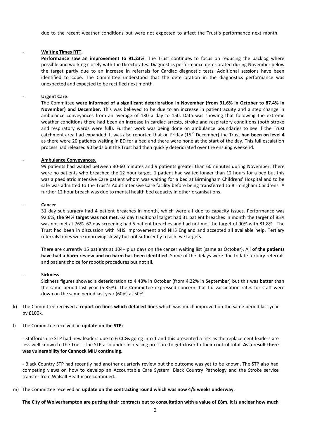due to the recent weather conditions but were not expected to affect the Trust's performance next month.

#### - **Waiting Times RTT.**

**Performance saw an improvement to 91.23%**. The Trust continues to focus on reducing the backlog where possible and working closely with the Directorates. Diagnostics performance deteriorated during November below the target partly due to an increase in referrals for Cardiac diagnostic tests. Additional sessions have been identified to cope. The Committee understood that the deterioration in the diagnostics performance was unexpected and expected to be rectified next month.

#### - **Urgent Care**.

The Committee **were informed of a significant deterioration in November (from 91.6% in October to 87.4% in November) and December.** This was believed to be due to an increase in patient acuity and a step change in ambulance conveyances from an average of 130 a day to 150. Data was showing that following the extreme weather conditions there had been an increase in cardiac arrests, stroke and respiratory conditions (both stroke and respiratory wards were full). Further work was being done on ambulance boundaries to see if the Trust catchment area had expanded. It was also reported that on Friday (15th December) the Trust **had been on level 4**  as there were 20 patients waiting in ED for a bed and there were none at the start of the day. This full escalation process had released 90 beds but the Trust had then quickly deteriorated over the ensuing weekend.

#### - **Ambulance Conveyances.**

99 patients had waited between 30-60 minutes and 9 patients greater than 60 minutes during November. There were no patients who breached the 12 hour target. 1 patient had waited longer than 12 hours for a bed but this was a paediatric Intensive Care patient whom was waiting for a bed at Birmingham Childrens' Hospital and to be safe was admitted to the Trust's Adult Intensive Care facility before being transferred to Birmingham Childrens. A further 12 hour breach was due to mental health bed capacity in other organisations.

#### - **Cancer**

31 day sub surgery had 4 patient breaches in month, which were all due to capacity issues. Performance was 92.6%, **the 94% target was not met**. 62 day traditional target had 31 patient breaches in month the target of 85% was not met at 76%. 62 day screening had 5 patient breaches and had not met the target of 90% with 81.8%. The Trust had been in discussion with NHS Improvement and NHS England and accepted all available help. Tertiary referrals times were improving slowly but not sufficiently to achieve targets.

There are currently 15 patients at 104+ plus days on the cancer waiting list (same as October). All **of the patients have had a harm review and no harm has been identified**. Some of the delays were due to late tertiary referrals and patient choice for robotic procedures but not all.

#### - **Sickness**

Sickness figures showed a deterioration to 4.48% in October (from 4.22% in September) but this was better than the same period last year (5.35%). The Committee expressed concern that flu vaccination rates for staff were down on the same period last year (60%) at 50%.

- k) The Committee received a **report on fines which detailed fines** which was much improved on the same period last year by £100k.
- l) The Committee received an **update on the STP:**

- Staffordshire STP had new leaders due to 6 CCGs going into 1 and this presented a risk as the replacement leaders are less well known to the Trust. The STP also under increasing pressure to get closer to their control total. **As a result there was vulnerability for Cannock MIU continuing.**

- Black Country STP had recently had another quarterly review but the outcome was yet to be known. The STP also had competing views on how to develop an Accountable Care System. Black Country Pathology and the Stroke service transfer from Walsall Healthcare continued.

m) The Committee received an **update on the contracting round which was now 4/5 weeks underway**.

**The City of Wolverhampton are putting their contracts out to consultation with a value of £8m. It is unclear how much**